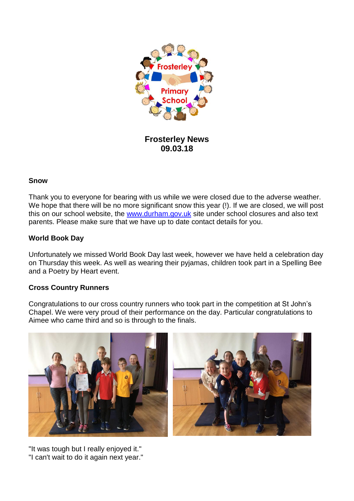

**Frosterley News 09.03.18**

### **Snow**

Thank you to everyone for bearing with us while we were closed due to the adverse weather. We hope that there will be no more significant snow this year (!). If we are closed, we will post this on our school website, the [www.durham.gov.uk](http://www.durham.gov.uk/) site under school closures and also text parents. Please make sure that we have up to date contact details for you.

## **World Book Day**

Unfortunately we missed World Book Day last week, however we have held a celebration day on Thursday this week. As well as wearing their pyjamas, children took part in a Spelling Bee and a Poetry by Heart event.

# **Cross Country Runners**

Congratulations to our cross country runners who took part in the competition at St John's Chapel. We were very proud of their performance on the day. Particular congratulations to Aimee who came third and so is through to the finals.



"It was tough but I really enjoyed it." "I can't wait to do it again next year."